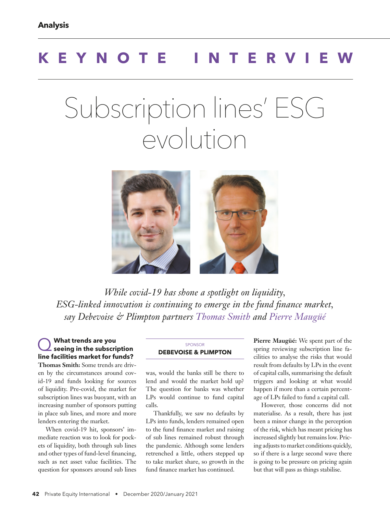## **KEYNOTE INTERVIE**

# Subscription lines' ESG evolution



*While covid-19 has shone a spotlight on liquidity, ESG-linked innovation is continuing to emerge in the fund finance market, say Debevoise & Plimpton partners Thomas Smith and Pierre Maugüé*

#### Q **What trends are you seeing in the subscription line facilities market for funds? Thomas Smith:** Some trends are driven by the circumstances around covid-19 and funds looking for sources of liquidity. Pre-covid, the market for subscription lines was buoyant, with an increasing number of sponsors putting in place sub lines, and more and more

lenders entering the market. When covid-19 hit, sponsors' immediate reaction was to look for pockets of liquidity, both through sub lines and other types of fund-level financing, such as net asset value facilities. The question for sponsors around sub lines

#### SPONSOR **DEBEVOISE & PLIMPTON**

was, would the banks still be there to lend and would the market hold up? The question for banks was whether LPs would continue to fund capital calls.

Thankfully, we saw no defaults by LPs into funds, lenders remained open to the fund finance market and raising of sub lines remained robust through the pandemic. Although some lenders retrenched a little, others stepped up to take market share, so growth in the fund finance market has continued.

**Pierre Maugüé:** We spent part of the spring reviewing subscription line facilities to analyse the risks that would result from defaults by LPs in the event of capital calls, summarising the default triggers and looking at what would happen if more than a certain percentage of LPs failed to fund a capital call.

However, those concerns did not materialise. As a result, there has just been a minor change in the perception of the risk, which has meant pricing has increased slightly but remains low. Pricing adjusts to market conditions quickly, so if there is a large second wave there is going to be pressure on pricing again but that will pass as things stabilise.